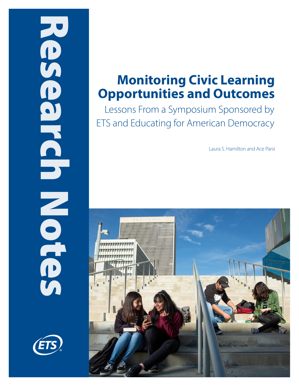# Research Notes NONDONOCION



# **Monitoring Civic Learning Opportunities and Outcomes**

Lessons From a Symposium Sponsored by ETS and Educating for American Democracy

Laura S. Hamilton and Ace Parsi

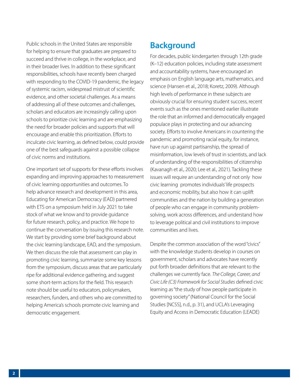Public schools in the United States are responsible for helping to ensure that graduates are prepared to succeed and thrive in college, in the workplace, and in their broader lives. In addition to these significant responsibilities, schools have recently been charged with responding to the COVID-19 pandemic, the legacy of systemic racism, widespread mistrust of scientific evidence, and other societal challenges. As a means of addressing all of these outcomes and challenges, scholars and educators are increasingly calling upon schools to prioritize civic learning and are emphasizing the need for broader policies and supports that will encourage and enable this prioritization. Efforts to inculcate civic learning, as defined below, could provide one of the best safeguards against a possible collapse of civic norms and institutions.

One important set of supports for these efforts involves expanding and improving approaches to measurement of civic learning opportunities and outcomes. To help advance research and development in this area, Educating for American Democracy (EAD) partnered with ETS on a symposium held in July 2021 to take stock of what we know and to provide guidance for future research, policy, and practice. We hope to continue the conversation by issuing this research note. We start by providing some brief background about the civic learning landscape, EAD, and the symposium. We then discuss the role that assessment can play in promoting civic learning, summarize some key lessons from the symposium, discuss areas that are particularly ripe for additional evidence gathering, and suggest some short-term actions for the field. This research note should be useful to educators, policymakers, researchers, funders, and others who are committed to helping America's schools promote civic learning and democratic engagement.

# **Background**

For decades, public kindergarten through 12th grade (K–12) education policies, including state assessment and accountability systems, have encouraged an emphasis on English language arts, mathematics, and science (Hansen et al., 2018; Koretz, 2009). Although high levels of performance in these subjects are obviously crucial for ensuring student success, recent events such as the ones mentioned earlier illustrate the role that an informed and democratically engaged populace plays in protecting and our advancing society. Efforts to involve Americans in countering the pandemic and promoting racial equity, for instance, have run up against partisanship, the spread of misinformation, low levels of trust in scientists, and lack of understanding of the responsibilities of citizenship (Kavanagh et al., 2020; Lee et al., 2021). Tackling these issues will require an understanding of not only how civic learning promotes individuals' life prospects and economic mobility, but also how it can uplift communities and the nation by building a generation of people who can engage in community problemsolving, work across differences, and understand how to leverage political and civil institutions to improve communities and lives.

Despite the common association of the word "civics" with the knowledge students develop in courses on government, scholars and advocates have recently put forth broader definitions that are relevant to the challenges we currently face. *The College, Career, and Civic Life (C3) Framework for Social Studies* defined civic learning as "the study of how people participate in governing society" (National Council for the Social Studies [NCSS], n.d., p. 31), and UCLA's Leveraging Equity and Access in Democratic Education (LEADE)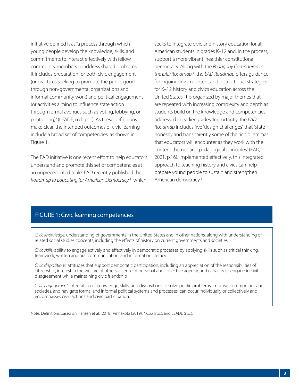<span id="page-2-0"></span>initiative defined it as "a process through which young people develop the knowledge, skills, and commitments to interact effectively with fellow community members to address shared problems. It includes preparation for both civic engagement (or practices seeking to promote the public good through non-governmental organizations and informal community work) and political engagement (or activities aiming to influence state action through formal avenues such as voting, lobbying, or petitioning)" (LEADE, n.d., p. 1). As these definitions make clear, the intended outcomes of civic learning include a broad set of competencies, as shown in Figure 1.

The EAD initiative is one recent effort to help educators understand and promote this set of competencies at an unprecedented scale. EAD recently published the Roadmap to Educating for American Democracy,<sup>[1](#page-17-0)</sup> which

seeks to integrate civic and history education for all American students in grades K–12 and, in the process, support a more vibrant, healthier constitutional democracy. Along with the *Pedagogy Companion to the EAD Roadmap*, [2](#page-17-0) the *EAD Roadmap* offers guidance for inquiry-driven content and instructional strategies for K–12 history and civics education across the United States. It is organized by major themes that are repeated with increasing complexity and depth as students build on the knowledge and competencies addressed in earlier grades. Importantly, the *EAD Roadmap* includes five "design challenges" that "state honestly and transparently some of the rich dilemmas that educators will encounter as they work with the content themes and pedagogical principles" (EAD, 2021, p.16). Implemented effectively, this integrated approach to teaching history and civics can help prepare young people to sustain and strengthen American democracy.[3](#page-17-0)

### FIGURE 1: Civic learning competencies

*Civic knowledge:* understanding of governments in the United States and in other nations, along with understanding of related social studies concepts, including the effects of history on current governments and societies

*Civic skills:* ability to engage actively and effectively in democratic processes by applying skills such as critical thinking, teamwork, written and oral communication, and information literacy

*Civic dispositions:* attitudes that support democratic participation, including an appreciation of the responsibilities of citizenship, interest in the welfare of others, a sense of personal and collective agency, and capacity to engage in civil disagreement while maintaining civic friendship

*Civic engagement:* integration of knowledge, skills, and dispositions to solve public problems, improve communities and societies, and navigate formal and informal political systems and processes; can occur individually or collectively and encompasses civic actions and civic participation.

Note: Definitions based on Hansen et al. (2018), Vinnakota (2019), NCSS (n.d.), and LEADE (n.d.).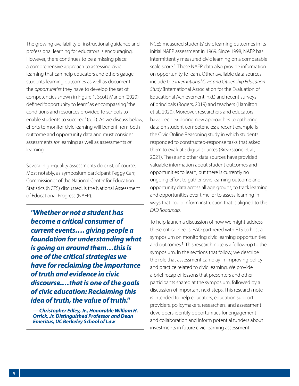<span id="page-3-0"></span>The growing availability of instructional guidance and professional learning for educators is encouraging. However, there continues to be a missing piece: a comprehensive approach to assessing civic learning that can help educators and others gauge students' learning outcomes as well as document the *opportunities* they have to develop the set of competencies shown in Figure 1. Scott Marion (2020) defined "opportunity to learn" as encompassing "the conditions and resources provided to schools to enable students to succeed" (p. 2). As we discuss below, efforts to monitor civic learning will benefit from both outcome and opportunity data and must consider assessments *for* learning as well as assessments *of* learning.

Several high-quality assessments do exist, of course. Most notably, as symposium participant Peggy Carr, Commissioner of the National Center for Education Statistics (NCES) discussed, is the National Assessment of Educational Progress (NAEP).

*"Whether or not a student has become a critical consumer of current events…. giving people a foundation for understanding what is going on around them…this is one of the critical strategies we have for reclaiming the importance of truth and evidence in civic discourse.…that is one of the goals of civic education: Reclaiming this idea of truth, the value of truth."*

*— Christopher Edley, Jr., Honorable William H. Orrick, Jr. Distinguished Professor and Dean Emeritus, UC Berkeley School of Law* 

NCES measured students' civic learning outcomes in its initial NAEP assessment in 1969. Since 1998, NAEP has intermittently measured civic learning on a comparable scale score.<sup>[4](#page-17-0)</sup> These NAEP data also provide information on opportunity to learn. Other available data sources include the *International Civic and Citizenship Education Study* (International Association for the Evaluation of Educational Achievement, n.d.) and recent surveys of principals (Rogers, 2019) and teachers (Hamilton et al., 2020). Moreover, researchers and educators have been exploring new approaches to gathering data on student competencies; a recent example is the Civic Online Reasoning study in which students responded to constructed-response tasks that asked them to evaluate digital sources (Breakstone et al., 2021). These and other data sources have provided valuable information about student outcomes and opportunities to learn, but there is currently no ongoing effort to gather civic learning outcome and opportunity data across all age groups, to track learning and opportunities over time, or to assess learning in ways that could inform instruction that is aligned to the *EAD Roadmap*.

To help launch a discussion of how we might address these critical needs, EAD partnered with ETS to host a symposium on monitoring civic learning opportunities and outcomes.<sup>[5](#page-17-0)</sup> This research note is a follow-up to the symposium. In the sections that follow, we describe the role that assessment can play in improving policy and practice related to civic learning. We provide a brief recap of lessons that presenters and other participants shared at the symposium, followed by a discussion of important next steps. This research note is intended to help educators, education support providers, policymakers, researchers, and assessment developers identify opportunities for engagement and collaboration and inform potential funders about investments in future civic learning assessment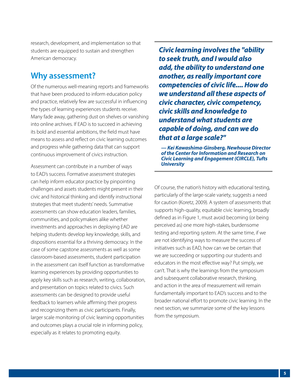research, development, and implementation so that students are equipped to sustain and strengthen American democracy.

### **Why assessment?**

Of the numerous well-meaning reports and frameworks that have been produced to inform education policy and practice, relatively few are successful in influencing the types of learning experiences students receive. Many fade away, gathering dust on shelves or vanishing into online archives. If EAD is to succeed in achieving its bold and essential ambitions, the field must have means to assess and reflect on civic learning outcomes and progress while gathering data that can support continuous improvement of civics instruction.

Assessment can contribute in a number of ways to EAD's success. Formative assessment strategies can help inform educator practice by pinpointing challenges and assets students might present in their civic and historical thinking and identify instructional strategies that meet students' needs. Summative assessments can show education leaders, families, communities, and policymakers alike whether investments and approaches in deploying EAD are helping students develop key knowledge, skills, and dispositions essential for a thriving democracy. In the case of some capstone assessments as well as some classroom-based assessments, student participation in the assessment can itself function as transformative learning experiences by providing opportunities to apply key skills such as research, writing, collaboration, and presentation on topics related to civics. Such assessments can be designed to provide useful feedback to learners while affirming their progress and recognizing them as civic participants. Finally, larger scale monitoring of civic learning opportunities and outcomes plays a crucial role in informing policy, especially as it relates to promoting equity.

*Civic learning involves the "ability to seek truth, and I would also add, the ability to understand one another, as really important core competencies of civic life.... How do we understand all these aspects of civic character, civic competency, civic skills and knowledge to understand what students are capable of doing, and can we do that at a large scale?"*

*— Kei Kawashima-Ginsberg, Newhouse Director of the Center for Information and Research on Civic Learning and Engagement (CIRCLE), Tufts University*

Of course, the nation's history with educational testing, particularly of the large-scale variety, suggests a need for caution (Koretz, 2009). A system of assessments that supports high-quality, equitable civic learning, broadly defined as in Figure 1, must avoid becoming (or being perceived as) one more high-stakes, burdensome testing and reporting system. At the same time, if we are not identifying ways to measure the success of initiatives such as EAD, how can we be certain that we are succeeding or supporting our students and educators in the most effective way? Put simply, we can't. That is why the learnings from the symposium and subsequent collaborative research, thinking, and action in the area of measurement will remain fundamentally important to EAD's success and to the broader national effort to promote civic learning. In the next section, we summarize some of the key lessons from the symposium.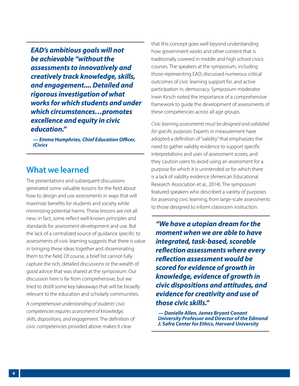*EAD's ambitious goals will not be achievable "without the assessments to innovatively and creatively track knowledge, skills, and engagement.... Detailed and rigorous investigation of what works for which students and under which circumstances…promotes excellence and equity in civic education."*

*— Emma Humphries, Chief Education Officer, iCivics*

### **What we learned**

The presentations and subsequent discussions generated some valuable lessons for the field about how to design and use assessments in ways that will maximize benefits for students and society while minimizing potential harms. These lessons are not all new; in fact, some reflect well-known principles and standards for assessment development and use. But the lack of a centralized source of guidance specific to assessments of civic learning suggests that there is value in bringing these ideas together and disseminating them to the field. Of course, a brief list cannot fully capture the rich, detailed discussions or the wealth of good advice that was shared at the symposium. Our discussion here is far from comprehensive, but we tried to distill some key takeaways that will be broadly relevant to the education and scholarly communities.

*A comprehensive understanding of students' civic competencies requires assessment of knowledge, skills, dispositions, and engagement.* The definition of civic competencies provided above makes it clear

that this concept goes well beyond understanding how government works and other content that is traditionally covered in middle and high school civics courses. The speakers at the symposium, including those representing EAD, discussed numerous critical outcomes of civic learning support for, and active participation in, democracy. Symposium moderator Irwin Kirsch noted the importance of a comprehensive framework to guide the development of assessments of these competencies across all age groups.

*Civic learning assessments must be designed and validated for specific purposes.* Experts in measurement have adopted a definition of "validity" that emphasizes the need to gather validity evidence to support specific interpretations and uses of assessment scores, and they caution users to avoid using an assessment for a purpose for which it is unintended or for which there is a lack of validity evidence (American Educational Research Association et al., 2014). The symposium featured speakers who described a variety of purposes for assessing civic learning, from large-scale assessments to those designed to inform classroom instruction.

*"We have a utopian dream for the moment when we are able to have integrated, task-based, scorable reflection assessments where every reflection assessment would be scored for evidence of growth in knowledge, evidence of growth in civic dispositions and attitudes, and evidence for creativity and use of those civic skills."*

*— Danielle Allen, James Bryant Conant University Professor and Director of the Edmond J. Safra Center for Ethics, Harvard University*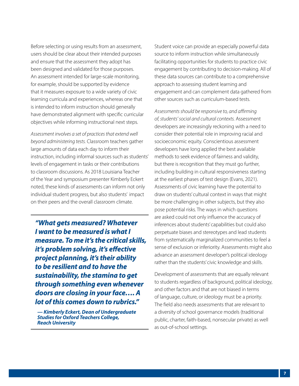Before selecting or using results from an assessment, users should be clear about their intended purposes and ensure that the assessment they adopt has been designed and validated for those purposes. An assessment intended for large-scale monitoring, for example, should be supported by evidence that it measures exposure to a wide variety of civic learning curricula and experiences, whereas one that is intended to inform instruction should generally have demonstrated alignment with specific curricular objectives while informing instructional next steps.

*Assessment involves a set of practices that extend well beyond administering tests.* Classroom teachers gather large amounts of data each day to inform their instruction, including informal sources such as students' levels of engagement in tasks or their contributions to classroom discussions. As 2018 Louisiana Teacher of the Year and symposium presenter Kimberly Eckert noted, these kinds of assessments can inform not only individual student progress, but also students' impact on their peers and the overall classroom climate.

*"What gets measured? Whatever I want to be measured is what I measure. To me it's the critical skills, it's problem solving, it's effective project planning, it's their ability to be resilient and to have the sustainability, the stamina to get through something even whenever doors are closing in your face…. A lot of this comes down to rubrics."*

*— Kimberly Eckert, Dean of Undergraduate Studies for Oxford Teachers College, Reach University* 

Student voice can provide an especially powerful data source to inform instruction while simultaneously facilitating opportunities for students to practice civic engagement by contributing to decision-making. All of these data sources can contribute to a comprehensive approach to assessing student learning and engagement and can complement data gathered from other sources such as curriculum-based tests.

*Assessments should be responsive to, and affirming of, students' social and cultural contexts.* Assessment developers are increasingly reckoning with a need to consider their potential role in improving racial and socioeconomic equity. Conscientious assessment developers have long applied the best available methods to seek evidence of fairness and validity, but there is recognition that they must go further, including building in cultural responsiveness starting at the earliest phases of test design (Evans, 2021). Assessments of civic learning have the potential to draw on students' cultural context in ways that might be more challenging in other subjects, but they also pose potential risks. The ways in which questions are asked could not only influence the accuracy of inferences about students' capabilities but could also perpetuate biases and stereotypes and lead students from systematically marginalized communities to feel a sense of exclusion or inferiority. Assessments might also advance an assessment developer's political ideology rather than the students' civic knowledge and skills.

Development of assessments that are equally relevant to students regardless of background, political ideology, and other factors and that are not biased in terms of language, culture, or ideology must be a priority. The field also needs assessments that are relevant to a diversity of school governance models (traditional public, charter, faith-based, nonsecular private) as well as out-of-school settings.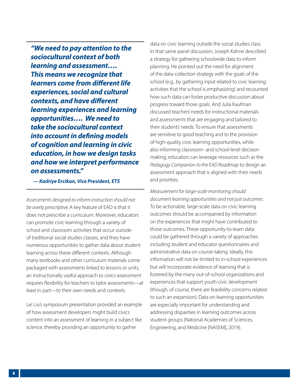*"We need to pay attention to the sociocultural context of both learning and assessment…. This means we recognize that learners come from different life experiences, social and cultural contexts, and have different learning experiences and learning opportunities…. We need to take the sociocultural context into account in defining models of cognition and learning in civic education, in how we design tasks and how we interpret performance on assessments."*

*— Kadriye Ercikan, Vice President, ETS*

*Assessments designed to inform instruction should not be overly prescriptive.* A key feature of EAD is that it does not prescribe a curriculum. Moreover, educators can promote civic learning through a variety of school and classroom activities that occur outside of traditional social studies classes, and they have numerous opportunities to gather data about student learning across these different contexts. Although many textbooks and other curriculum materials come packaged with assessments linked to lessons or units, an instructionally useful approach to civics assessment requires flexibility for teachers to tailor assessments—at least in part—to their own needs and contexts.

Lei Liu's symposium presentation provided an example of how assessment developers might build civics content into an assessment of learning in a subject like science, thereby providing an opportunity to gather

data on civic learning outside the social studies class. In that same panel discussion, Joseph Kahne described a strategy for gathering schoolwide data to inform planning. He pointed out the need for alignment of the data-collection strategy with the goals of the school (e.g., by gathering input related to civic learning activities that the school is emphasizing) and recounted how such data can foster productive discussion about progress toward those goals. And Julia Kaufman discussed teachers' needs for instructional materials and assessments that are engaging and tailored to their students' needs. To ensure that assessments are sensitive to good teaching and to the provision of high-quality civic learning opportunities, while also informing classroom- and school-level decision making, educators can leverage resources such as the *Pedagogy Companion to the EAD Roadmap* to design an assessment approach that is aligned with their needs and priorities.

*Measurement for large-scale monitoring should document learning opportunities and not just outcomes.*  To be actionable, large-scale data on civic learning outcomes should be accompanied by information on the experiences that might have contributed to those outcomes. These opportunity-to-learn data could be gathered through a variety of approaches including student and educator questionnaires and administrative data on course-taking. Ideally, this information will not be limited to in-school experiences but will incorporate evidence of learning that is fostered by the many out-of-school organizations and experiences that support youth civic development (though, of course, there are feasibility concerns related to such an expansion). Data on learning opportunities are especially important for understanding and addressing disparities in learning outcomes across student groups (National Academies of Sciences, Engineering, and Medicine [NASEM], 2019).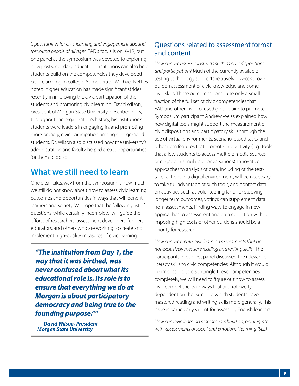*Opportunities for civic learning and engagement abound for young people of all ages.* EAD's focus is on K–12, but one panel at the symposium was devoted to exploring how postsecondary education institutions can also help students build on the competencies they developed before arriving in college. As moderator Michael Nettles noted, higher education has made significant strides recently in improving the civic participation of their students and promoting civic learning. David Wilson, president of Morgan State University, described how, throughout the organization's history, his institution's students were leaders in engaging in, and promoting more broadly, civic participation among college-aged students. Dr. Wilson also discussed how the university's administration and faculty helped create opportunities for them to do so.

### **What we still need to learn**

One clear takeaway from the symposium is how much we still do not know about how to assess civic learning outcomes and opportunities in ways that will benefit learners and society. We hope that the following list of questions, while certainly incomplete, will guide the efforts of researchers, assessment developers, funders, educators, and others who are working to create and implement high-quality measures of civic learning.

*"The institution from Day 1, the way that it was birthed, was never confused about what its educational role is. Its role is to ensure that everything we do at Morgan is about participatory democracy and being true to the founding purpose.""*

*— David Wilson, President Morgan State University*

### Questions related to assessment format and content

*How can we assess constructs such as civic dispositions and participation?* Much of the currently available testing technology supports relatively low-cost, lowburden assessment of civic knowledge and some civic skills. These outcomes constitute only a small fraction of the full set of civic competencies that EAD and other civic-focused groups aim to promote. Symposium participant Andrew Weiss explained how new digital tools might support the measurement of civic dispositions and participatory skills through the use of virtual environments, scenario-based tasks, and other item features that promote interactivity (e.g., tools that allow students to access multiple media sources or engage in simulated conversations). Innovative approaches to analysis of data, including of the testtaker actions in a digital environment, will be necessary to take full advantage of such tools, and nontest data on activities such as volunteering (and, for studying longer term outcomes, voting) can supplement data from assessments. Finding ways to engage in new approaches to assessment and data collection without imposing high costs or other burdens should be a priority for research.

*How can we create civic learning assessments that do not exclusively measure reading and writing skills?* The participants in our first panel discussed the relevance of literacy skills to civic competencies. Although it would be impossible to disentangle these competencies completely, we will need to figure out how to assess civic competencies in ways that are not overly dependent on the extent to which students have mastered reading and writing skills more generally. This issue is particularly salient for assessing English learners.

*How can civic learning assessments build on, or integrate with, assessments of social and emotional learning (SEL)*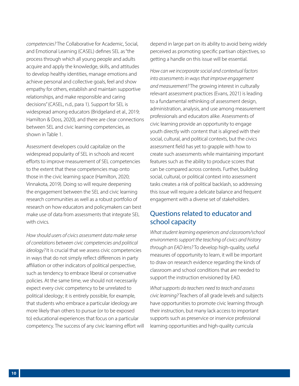*competencies?* The Collaborative for Academic, Social, and Emotional Learning (CASEL) defines SEL as "the process through which all young people and adults acquire and apply the knowledge, skills, and attitudes to develop healthy identities, manage emotions and achieve personal and collective goals, feel and show empathy for others, establish and maintain supportive relationships, and make responsible and caring decisions" (CASEL, n.d., para 1). Support for SEL is widespread among educators (Bridgeland et al., 2019; Hamilton & Doss, 2020), and there are clear connections between SEL and civic learning competencies, as shown in Table 1.

Assessment developers could capitalize on the widespread popularity of SEL in schools and recent efforts to improve measurement of SEL competencies to the extent that these competencies map onto those in the civic learning space (Hamilton, 2020; Vinnakota, 2019). Doing so will require deepening the engagement between the SEL and civic learning research communities as well as a robust portfolio of research on how educators and policymakers can best make use of data from assessments that integrate SEL with civics.

*How should users of civics assessment data make sense of correlations between civic competencies and political ideology?* It is crucial that we assess civic competencies in ways that do not simply reflect differences in party affiliation or other indicators of political perspective, such as tendency to embrace liberal or conservative policies. At the same time, we should not necessarily expect every civic competency to be unrelated to political ideology; it is entirely possible, for example, that students who embrace a particular ideology are more likely than others to pursue (or to be exposed to) educational experiences that focus on a particular competency. The success of any civic learning effort will depend in large part on its ability to avoid being widely perceived as promoting specific partisan objectives, so getting a handle on this issue will be essential.

*How can we incorporate social and contextual factors into assessments in ways that improve engagement and measurement?* The growing interest in culturally relevant assessment practices (Evans, 2021) is leading to a fundamental rethinking of assessment design, administration, analysis, and use among measurement professionals and educators alike. Assessments of civic learning provide an opportunity to engage youth directly with content that is aligned with their social, cultural, and political contexts, but the civics assessment field has yet to grapple with how to create such assessments while maintaining important features such as the ability to produce scores that can be compared across contexts. Further, building social, cultural, or political context into assessment tasks creates a risk of political backlash, so addressing this issue will require a delicate balance and frequent engagement with a diverse set of stakeholders.

### Questions related to educator and school capacity

*What student learning experiences and classroom/school environments support the teaching of civics and history through an EAD lens?* To develop high-quality, useful measures of opportunity to learn, it will be important to draw on research evidence regarding the kinds of classroom and school conditions that are needed to support the instruction envisioned by EAD.

*What supports do teachers need to teach and assess civic learning?* Teachers of all grade levels and subjects have opportunities to promote civic learning through their instruction, but many lack access to important supports such as preservice or inservice professional learning opportunities and high-quality curricula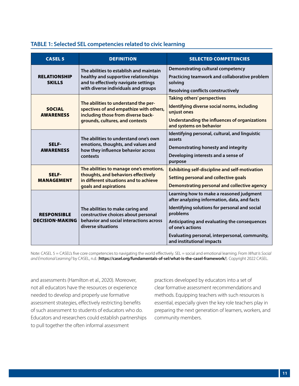### **TABLE 1: Selected SEL competencies related to civic learning**

| <b>CASEL 5</b>                               | <b>DEFINITION</b>                                                                                                                                              | <b>SELECTED COMPETENCIES</b>                                                                                                                                                                                                                                                                             |
|----------------------------------------------|----------------------------------------------------------------------------------------------------------------------------------------------------------------|----------------------------------------------------------------------------------------------------------------------------------------------------------------------------------------------------------------------------------------------------------------------------------------------------------|
| <b>RELATIONSHIP</b><br><b>SKILLS</b>         | The abilities to establish and maintain<br>healthy and supportive relationships<br>and to effectively navigate settings<br>with diverse individuals and groups | <b>Demonstrating cultural competency</b><br>Practicing teamwork and collaborative problem<br>solving<br><b>Resolving conflicts constructively</b>                                                                                                                                                        |
| <b>SOCIAL</b><br><b>AWARENESS</b>            | The abilities to understand the per-<br>spectives of and empathize with others,<br>including those from diverse back-<br>grounds, cultures, and contexts       | <b>Taking others' perspectives</b><br>Identifying diverse social norms, including<br>unjust ones<br>Understanding the influences of organizations<br>and systems on behavior                                                                                                                             |
| SELF-<br><b>AWARENESS</b>                    | The abilities to understand one's own<br>emotions, thoughts, and values and<br>how they influence behavior across<br>contexts                                  | Identifying personal, cultural, and linguistic<br>assets<br>Demonstrating honesty and integrity<br>Developing interests and a sense of<br>purpose                                                                                                                                                        |
| SELF-<br><b>MANAGEMENT</b>                   | The abilities to manage one's emotions,<br>thoughts, and behaviors effectively<br>in different situations and to achieve<br>goals and aspirations              | <b>Exhibiting self-discipline and self-motivation</b><br><b>Setting personal and collective goals</b><br>Demonstrating personal and collective agency                                                                                                                                                    |
| <b>RESPONSIBLE</b><br><b>DECISION-MAKING</b> | The abilities to make caring and<br>constructive choices about personal<br>behavior and social interactions across<br>diverse situations                       | Learning how to make a reasoned judgment<br>after analyzing information, data, and facts<br>Identifying solutions for personal and social<br>problems<br>Anticipating and evaluating the consequences<br>of one's actions<br>Evaluating personal, interpersonal, community,<br>and institutional impacts |

Note: CASEL 5 = CASEL's five core competencies to navigating the world effectively. SEL = social and emotional learning. From *What Is Social and Emotional Learning?* by CASEL, n.d. (**<https://casel.org/fundamentals-of-sel/what-is-the-casel-framework/>**). Copyright 2022 CASEL.

and assessments (Hamilton et al., 2020). Moreover, not all educators have the resources or experience needed to develop and properly use formative assessment strategies, effectively restricting benefits of such assessment to students of educators who do. Educators and researchers could establish partnerships to pull together the often informal assessment

practices developed by educators into a set of clear formative assessment recommendations and methods. Equipping teachers with such resources is essential, especially given the key role teachers play in preparing the next generation of learners, workers, and community members.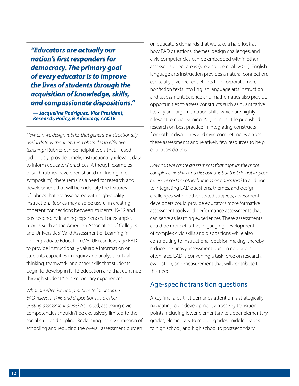*"Educators are actually our nation's first responders for democracy. The primary goal of every educator is to improve the lives of students through the acquisition of knowledge, skills, and compassionate dispositions."*

*— Jacqueline Rodriguez, Vice President, Research, Policy, & Advocacy, AACTE*

*How can we design rubrics that generate instructionally useful data without creating obstacles to effective teaching?* Rubrics can be helpful tools that, if used judiciously, provide timely, instructionally relevant data to inform educators' practices. Although examples of such rubrics have been shared (including in our symposium), there remains a need for research and development that will help identify the features of rubrics that are associated with high-quality instruction. Rubrics may also be useful in creating coherent connections between students' K–12 and postsecondary learning experiences. For example, rubrics such as the American Association of Colleges and Universities' Valid Assessment of Learning in Undergraduate Education (VALUE) can leverage EAD to provide instructionally valuable information on students' capacities in inquiry and analysis, critical thinking, teamwork, and other skills that students begin to develop in K–12 education and that continue through students' postsecondary experiences.

*What are effective best practices to incorporate EAD-relevant skills and dispositions into other existing assessment areas?* As noted, assessing civic competencies shouldn't be exclusively limited to the social studies discipline. Reclaiming the civic mission of schooling and reducing the overall assessment burden

on educators demands that we take a hard look at how EAD questions, themes, design challenges, and civic competencies can be embedded within other assessed subject areas (see also Lee et al., 2021). English language arts instruction provides a natural connection, especially given recent efforts to incorporate more nonfiction texts into English language arts instruction and assessment. Science and mathematics also provide opportunities to assess constructs such as quantitative literacy and argumentation skills, which are highly relevant to civic learning. Yet, there is little published research on best practice in integrating constructs from other disciplines and civic competencies across these assessments and relatively few resources to help educators do this.

*How can we create assessments that capture the more complex civic skills and dispositions but that do not impose excessive costs or other burdens on educators?* In addition to integrating EAD questions, themes, and design challenges within other tested subjects, assessment developers could provide educators more formative assessment tools and performance assessments that can serve as learning experiences. These assessments could be more effective in gauging development of complex civic skills and dispositions while also contributing to instructional decision making, thereby reduce the heavy assessment burden educators often face. EAD is convening a task force on research, evaluation, and measurement that will contribute to this need.

### Age-specific transition questions

A key final area that demands attention is strategically navigating civic development across key transition points including lower elementary to upper elementary grades, elementary to middle grades, middle grades to high school, and high school to postsecondary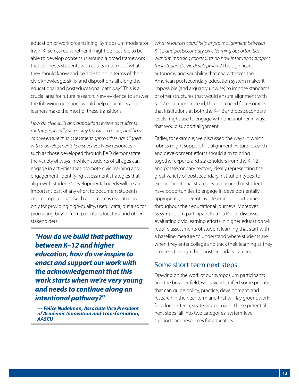education or workforce training. Symposium moderator Irwin Kirsch asked whether it might be "feasible to be able to develop consensus around a broad framework that connects students with adults in terms of what they should know and be able to do in terms of their civic knowledge, skills, and dispositions all along the educational and posteducational pathway." This is a crucial area for future research. New evidence to answer the following questions would help educators and learners make the most of these transitions.

*How do civic skills and dispositions evolve as students mature, especially across key transition points, and how can we ensure that assessment approaches are aligned with a developmental perspective?* New resources such as those developed through EAD demonstrate the variety of ways in which students of all ages can engage in activities that promote civic learning and engagement. Identifying assessment strategies that align with students' developmental needs will be an important part of any effort to document students' civic competencies. Such alignment is essential not only for providing high-quality, useful data, but also for promoting buy-in from parents, educators, and other stakeholders.

*"How do we build that pathway between K–12 and higher education, how do we inspire to enact and support our work with the acknowledgement that this work starts when we're very young and needs to continue along an intentional pathway?"*

*— Felice Nudelman, Associate Vice President of Academic Innovation and Transformation, AASCU* 

*What resources could help improve alignment between K–12 and postsecondary civic learning opportunities without imposing constraints on how institutions support their students' civic development?* The significant autonomy and variability that characterizes the American postsecondary education system makes it impossible (and arguably unwise) to impose standards or other structures that would ensure alignment with K–12 education. Instead, there is a need for resources that institutions at both the K–12 and postsecondary levels might use to engage with one another in ways that would support alignment.

Earlier, for example, we discussed the ways in which rubrics might support this alignment. Future research and development efforts should aim to bring together experts and stakeholders from the K–12 and postsecondary sectors, ideally representing the great variety of postsecondary institution types, to explore additional strategies to ensure that students have opportunities to engage in developmentally appropriate, coherent civic learning opportunities throughout their educational journeys. Moreover, as symposium participant Katrina Roohr discussed, evaluating civic learning efforts in higher education will require assessments of student learning that start with a baseline measure to understand where students are when they enter college and track their learning as they progress through their postsecondary careers.

### Some short-term next steps

Drawing on the work of our symposium participants and the broader field, we have identified some priorities that can guide policy, practice, development, and research in the near term and that will lay groundwork for a longer term, strategic approach. These potential next steps fall into two categories: system-level supports and resources for educators.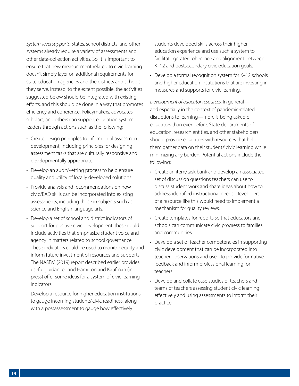*System-level supports.* States, school districts, and other systems already require a variety of assessments and other data-collection activities. So, it is important to ensure that new measurement related to civic learning doesn't simply layer on additional requirements for state education agencies and the districts and schools they serve. Instead, to the extent possible, the activities suggested below should be integrated with existing efforts, and this should be done in a way that promotes efficiency and coherence. Policymakers, advocates, scholars, and others can support education system leaders through actions such as the following:

- Create design principles to inform local assessment development, including principles for designing assessment tasks that are culturally responsive and developmentally appropriate.
- Develop an audit/vetting process to help ensure quality and utility of locally developed solutions.
- Provide analysis and recommendations on how civic/EAD skills can be incorporated into existing assessments, including those in subjects such as science and English language arts.
- Develop a set of school and district indicators of support for positive civic development; these could include activities that emphasize student voice and agency in matters related to school governance. These indicators could be used to monitor equity and inform future investment of resources and supports. The NASEM (2019) report described earlier provides useful guidance , and Hamilton and Kaufman (in press) offer some ideas for a system of civic learning indicators.
- Develop a resource for higher education institutions to gauge incoming students' civic readiness, along with a postassessment to gauge how effectively

students developed skills across their higher education experience and use such a system to facilitate greater coherence and alignment between K–12 and postsecondary civic education goals.

• Develop a formal recognition system for K–12 schools and higher education institutions that are investing in measures and supports for civic learning.

*Development of educator resources.* In general and especially in the context of pandemic-related disruptions to learning—more is being asked of educators than ever before. State departments of education, research entities, and other stakeholders should provide educators with resources that help them gather data on their students' civic learning while minimizing any burden. Potential actions include the following:

- Create an item/task bank and develop an associated set of discussion questions teachers can use to discuss student work and share ideas about how to address identified instructional needs. Developers of a resource like this would need to implement a mechanism for quality reviews.
- Create templates for reports so that educators and schools can communicate civic progress to families and communities.
- Develop a set of teacher competencies in supporting civic development that can be incorporated into teacher observations and used to provide formative feedback and inform professional learning for teachers.
- Develop and collate case studies of teachers and teams of teachers assessing student civic learning effectively and using assessments to inform their practice.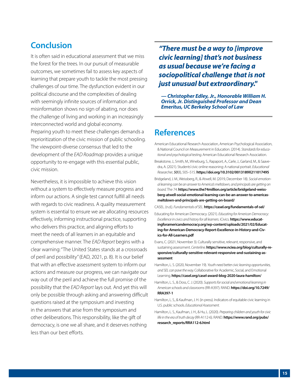# **Conclusion**

It is often said in educational assessment that we miss the forest for the trees. In our pursuit of measurable outcomes, we sometimes fail to assess key aspects of learning that prepare youth to tackle the most pressing challenges of our time. The dysfunction evident in our political discourse and the complexities of dealing with seemingly infinite sources of information and misinformation shows no sign of abating, nor does the challenge of living and working in an increasingly interconnected world and global economy. Preparing youth to meet these challenges demands a reprioritization of the civic mission of public schooling. The viewpoint-diverse consensus that led to the development of the *EAD Roadmap* provides a unique opportunity to re-engage with this essential public, civic mission.

Nevertheless, it is impossible to achieve this vision without a system to effectively measure progress and inform our actions. A single test cannot fulfill all needs with regards to civic readiness. A quality measurement system is essential to ensure we are allocating resources effectively, informing instructional practice, supporting who delivers this practice, and aligning efforts to meet the needs of all learners in an equitable and comprehensive manner. The *EAD Report* begins with a clear warning: "The United States stands at a crossroads of peril and possibility" (EAD, 2021, p. 8). It is our belief that with an effective assessment system to inform our actions and measure our progress, we can navigate our way out of the peril and achieve the full promise of the possibility that the *EAD Report* lays out. And yet this will only be possible through asking and answering difficult questions raised at the symposium and investing in the answers that arise from the symposium and other deliberations. This responsibility, like the gift of democracy, is one we all share, and it deserves nothing less than our best efforts.

### *"There must be a way to [improve civic learning] that's not business as usual because we're facing a sociopolitical challenge that is not just unusual but extraordinary."*

*— Christopher Edley, Jr., Honorable William H. Orrick, Jr. Distinguished Professor and Dean Emeritus, UC Berkeley School of Law*

### **References**

- American Educational Research Association, American Psychological Association, & National Council on Measurement in Education. (2014). *Standards for educational and psychological testing.* American Educational Research Association.
- Breakstone, J., Smith, M., Wineburg, S., Rapaport, A., Carle, J., Garland, M., & Saavedra, A. (2021). Students' civic online reasoning: A national portrait. *Educational Researcher, 50*(8), 505–515. **<https://doi.org/10.3102/0013189X211017495>**
- Bridgeland, J. M., Weissberg, R., & Atwell, M. (2019, December 18). *Social-emotional learning can be an answer to America's meltdown, and principals are getting on board.* The 74. **[https://www.the74million.org/article/bridgeland-weiss](https://www.the74million.org/article/bridgeland-weissberg-atwell-social-emotional-learning-can-be-an-answer-to-americas-meltdown-and-principals-are-getting-on-board/)[berg-atwell-social-emotional-learning-can-be-an-answer-to-americas](https://www.the74million.org/article/bridgeland-weissberg-atwell-social-emotional-learning-can-be-an-answer-to-americas-meltdown-and-principals-are-getting-on-board/)[meltdown-and-principals-are-getting-on-board/](https://www.the74million.org/article/bridgeland-weissberg-atwell-social-emotional-learning-can-be-an-answer-to-americas-meltdown-and-principals-are-getting-on-board/)**
- CASEL. (n.d.). *Fundamentals of SEL.* **<https://casel.org/fundamentals-of-sel/>**
- Educating for American Democracy. (2021). *Educating for American Democracy: Excellence in civics and history for all learners.* iCivics. **[https://www.educat](https://www.educatingforamericandemocracy.org/wp-content/uploads/2021/02/Educating-for-American-Democracy-Report-Excellence-in-History-and-Civics-for-All-Learners.pdf)[ingforamericandemocracy.org/wp-content/uploads/2021/02/Educat](https://www.educatingforamericandemocracy.org/wp-content/uploads/2021/02/Educating-for-American-Democracy-Report-Excellence-in-History-and-Civics-for-All-Learners.pdf)[ing-for-American-Democracy-Report-Excellence-in-History-and-Civ](https://www.educatingforamericandemocracy.org/wp-content/uploads/2021/02/Educating-for-American-Democracy-Report-Excellence-in-History-and-Civics-for-All-Learners.pdf)[ics-for-All-Learners.pdf](https://www.educatingforamericandemocracy.org/wp-content/uploads/2021/02/Educating-for-American-Democracy-Report-Excellence-in-History-and-Civics-for-All-Learners.pdf)**
- Evans, C. (2021, November 3). Culturally sensitive, relevant, responsive, and sustaining assessment. *Centerline.* **[https://www.nciea.org/blog/culturally-re](https://www.nciea.org/blog/culturally-responsive/culturally-sensitive-relevant-responsive-and-sustaining-assessment)[sponsive/culturally-sensitive-relevant-responsive-and-sustaining-as](https://www.nciea.org/blog/culturally-responsive/culturally-sensitive-relevant-responsive-and-sustaining-assessment)[sessment](https://www.nciea.org/blog/culturally-responsive/culturally-sensitive-relevant-responsive-and-sustaining-assessment)**
- Hamilton, L. S. (2020, November 19). *Youth need better civic learning opportunities, and SEL can pave the way.* Collaborative for Academic, Social, and Emotional Learning. **<https://casel.org/casel-award-blog-2020-laura-hamilton/>**
- Hamilton, L. S., & Doss, C. J. (2020). *Supports for social and emotional learning in American schools and classrooms* (RR-A397). RAND. **[https://doi.org/10.7249/](https://doi.org/10.7249/RRA397-1) [RRA397-1](https://doi.org/10.7249/RRA397-1)**
- Hamilton, L. S., & Kaufman, J. H. (in press). Indicators of equitable civic learning in U.S. public schools. *Educational Assessment.*
- Hamilton, L. S., Kaufman, J. H., & Hu, L. (2020). *Preparing children and youth for civic life in the era of truth decay* (RR-A112-6). RAND. **[https://www.rand.org/pubs/](https://www.rand.org/pubs/research_reports/RRA112-6.html) [research\\_reports/RRA112-6.html](https://www.rand.org/pubs/research_reports/RRA112-6.html)**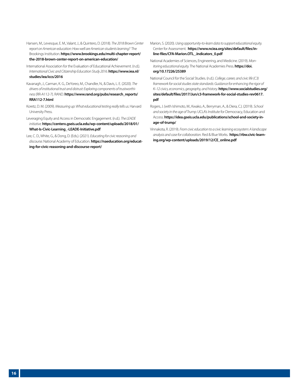- Hansen, M., Levesque, E. M., Valant, J., & Quintero, D. (2018). *The 2018 Brown Center report on American education: How well are American students learning?* The Brookings Institution. **[https://www.brookings.edu/multi-chapter-report/](https://www.brookings.edu/multi-chapter-report/the-2018-brown-center-report-on-american-education/) [the-2018-brown-center-report-on-american-education/](https://www.brookings.edu/multi-chapter-report/the-2018-brown-center-report-on-american-education/)**
- International Association for the Evaluation of Educational Achievement. (n.d.). *International Civic and Citizenship Education Study 2016.* **[https://www.iea.nl/](https://www.iea.nl/studies/iea/iccs/2016) [studies/iea/iccs/2016](https://www.iea.nl/studies/iea/iccs/2016)**
- Kavanagh, J., Carman, K. G., DeYoreo, M., Chandler, N., & Davis, L. E. (2020). *The drivers of institutional trust and distrust: Exploring components of trustworthiness* (RR-A112-7). RAND. **[https://www.rand.org/pubs/research\\_reports/](https://www.rand.org/pubs/research_reports/RRA112-7.html) [RRA112-7.html](https://www.rand.org/pubs/research_reports/RRA112-7.html)**
- Koretz, D. M. (2009). *Measuring up: What educational testing really tells us.* Harvard University Press.
- Leveraging Equity and Access in Democratic Engagement. (n.d.). *The LEADE initiative.* **[https://centerx.gseis.ucla.edu/wp-content/uploads/2018/01/](https://centerx.gseis.ucla.edu/wp-content/uploads/2018/01/What-Is-Civic-Learning_-LEADE-Initiative.pdf) [What-Is-Civic-Learning\\_-LEADE-Initiative.pdf](https://centerx.gseis.ucla.edu/wp-content/uploads/2018/01/What-Is-Civic-Learning_-LEADE-Initiative.pdf)**
- Lee, C. D., White, G., & Dong, D. (Eds.). (2021). *Educating for civic reasoning and discourse.* National Academy of Education. **[https://naeducation.org/educat](https://naeducation.org/educating-for-civic-reasoning-and-discourse-report/)[ing-for-civic-reasoning-and-discourse-report/](https://naeducation.org/educating-for-civic-reasoning-and-discourse-report/)**
- Marion, S. (2020). *Using opportunity-to-learn data to support educational equity.*  Center for Assessment. **[https://www.nciea.org/sites/default/files/in](https://www.nciea.org/sites/default/files/inline-files/CFA-Marion.OTL_.Indicators_0.pdf)[line-files/CFA-Marion.OTL\\_.Indicators\\_0.pdf](https://www.nciea.org/sites/default/files/inline-files/CFA-Marion.OTL_.Indicators_0.pdf)**
- National Academies of Sciences, Engineering, and Medicine. (2019). *Monitoring educational equity.* The National Academies Press. **[https://doi.](https://doi.org/10.17226/25389) [org/10.17226/25389](https://doi.org/10.17226/25389)**
- National Council for the Social Studies. (n.d.). *College, career, and civic life (C3) framework for social studies state standards: Guidance for enhancing the rigor of K–12 civics, economics, geography, and history.* **[https://www.socialstudies.org/](https://www.socialstudies.org/sites/default/files/2017/Jun/c3-framework-for-social-studies-rev0617.pdf) [sites/default/files/2017/Jun/c3-framework-for-social-studies-rev0617.](https://www.socialstudies.org/sites/default/files/2017/Jun/c3-framework-for-social-studies-rev0617.pdf) [pdf](https://www.socialstudies.org/sites/default/files/2017/Jun/c3-framework-for-social-studies-rev0617.pdf)**
- Rogers, J. (with Ishimoto, M., Kwako, A., Berryman, A., & Diera, C.). (2019). *School and society in the age of Trump.* UCLA's Institute for Democracy, Education and Access. **[https://idea.gseis.ucla.edu/publications/school-and-society-in](https://idea.gseis.ucla.edu/publications/school-and-society-in-age-of-trump/)[age-of-trump/](https://idea.gseis.ucla.edu/publications/school-and-society-in-age-of-trump/)**
- Vinnakota, R. (2019). *From civic education to a civic learning ecosystem: A landscape analysis and case for collaboration.* Red & Blue Works. **[https://rbw.civic-learn](https://rbw.civic-learning.org/wp-content/uploads/2019/12/CE_online.pdf)[ing.org/wp-content/uploads/2019/12/CE\\_online.pdf](https://rbw.civic-learning.org/wp-content/uploads/2019/12/CE_online.pdf)**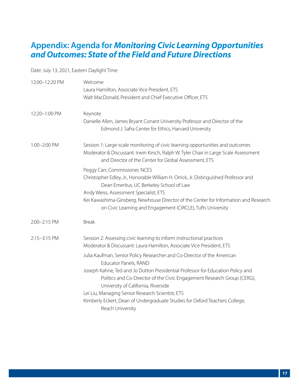### **Appendix: Agenda for** *Monitoring Civic Learning Opportunities and Outcomes: State of the Field and Future Directions*

Date: July 13, 2021, Eastern Daylight Time

| 12:00-12:20 PM | Welcome<br>Laura Hamilton, Associate Vice President, ETS<br>Walt MacDonald, President and Chief Executive Officer, ETS                                                                                                                                                                                                                                                                                                                                       |
|----------------|--------------------------------------------------------------------------------------------------------------------------------------------------------------------------------------------------------------------------------------------------------------------------------------------------------------------------------------------------------------------------------------------------------------------------------------------------------------|
| 12:20-1:00 PM  | Keynote<br>Danielle Allen, James Bryant Conant University Professor and Director of the<br>Edmond J. Safra Center for Ethics, Harvard University                                                                                                                                                                                                                                                                                                             |
| 1:00-2:00 PM   | Session 1: Large-scale monitoring of civic learning opportunities and outcomes<br>Moderator & Discussant: Irwin Kirsch, Ralph W. Tyler Chair in Large Scale Assessment<br>and Director of the Center for Global Assessment, ETS                                                                                                                                                                                                                              |
|                | Peggy Carr, Commissioner, NCES<br>Christopher Edley, Jr., Honorable William H. Orrick, Jr. Distinguished Professor and<br>Dean Emeritus, UC Berkeley School of Law<br>Andy Weiss, Assessment Specialist, ETS<br>Kei Kawashima-Ginsberg, Newhouse Director of the Center for Information and Research<br>on Civic Learning and Engagement (CIRCLE), Tufts University                                                                                          |
| 2:00-2:15 PM   | <b>Break</b>                                                                                                                                                                                                                                                                                                                                                                                                                                                 |
| 2:15-3:15 PM   | Session 2: Assessing civic learning to inform instructional practices<br>Moderator & Discussant: Laura Hamilton, Associate Vice President, ETS                                                                                                                                                                                                                                                                                                               |
|                | Julia Kaufman, Senior Policy Researcher and Co-Director of the American<br>Educator Panels, RAND<br>Joseph Kahne, Ted and Jo Dutton Presidential Professor for Education Policy and<br>Politics and Co-Director of the Civic Engagement Research Group (CERG),<br>University of California, Riverside<br>Lei Liu, Managing Senior Research Scientist, ETS<br>Kimberly Eckert, Dean of Undergraduate Studies for Oxford Teachers College,<br>Reach University |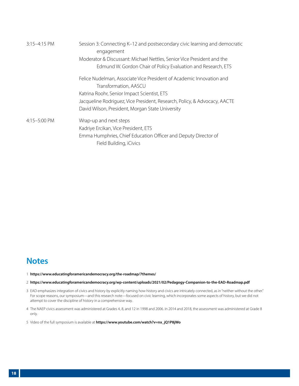<span id="page-17-0"></span>

| $3:15-4:15$ PM | Session 3: Connecting K-12 and postsecondary civic learning and democratic<br>engagement |  |
|----------------|------------------------------------------------------------------------------------------|--|
|                | Moderator & Discussant: Michael Nettles, Senior Vice President and the                   |  |
|                | Edmund W. Gordon Chair of Policy Evaluation and Research, ETS                            |  |
|                | Felice Nudelman, Associate Vice President of Academic Innovation and                     |  |
|                | Transformation, AASCU                                                                    |  |
|                | Katrina Roohr, Senior Impact Scientist, ETS                                              |  |
|                | Jacqueline Rodriguez, Vice President, Research, Policy, & Advocacy, AACTE                |  |
|                | David Wilson, President, Morgan State University                                         |  |
| 4:15-5:00 PM   | Wrap-up and next steps                                                                   |  |
|                | Kadriye Ercikan, Vice President, ETS                                                     |  |
|                | Emma Humphries, Chief Education Officer and Deputy Director of                           |  |
|                | Field Building, iCivics                                                                  |  |

# **Notes**

- [1](#page-2-0) **<https://www.educatingforamericandemocracy.org/the-roadmap/7themes/>**
- [2](#page-2-0) **<https://www.educatingforamericandemocracy.org/wp-content/uploads/2021/02/Pedagogy-Companion-to-the-EAD-Roadmap.pdf>**
- [3](#page-2-0) EAD emphasizes integration of civics and history by explicitly naming how history and civics are intricately connected, as in "neither without the other." For scope reasons, our symposium—and this research note—focused on civic learning, which incorporates some aspects of history, but we did not attempt to cover the discipline of history in a comprehensive way.
- [4](#page-3-0) The NAEP civics assessment was administered at Grades 4, 8, and 12 in 1998 and 2006. In 2014 and 2018, the assessment was administered at Grade 8 only.
- [5](#page-3-0) Video of the full symposium is available at **[https://www.youtube.com/watch?v=nx\\_jQ1P8jWo](https://www.youtube.com/watch?v=nx_jQ1P8jWo)**